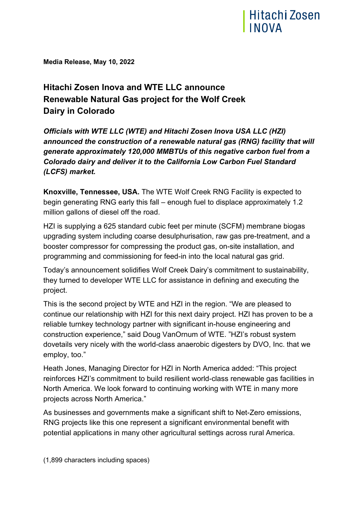

**Media Release, May 10, 2022**

## **Hitachi Zosen Inova and WTE LLC announce Renewable Natural Gas project for the Wolf Creek Dairy in Colorado**

*Officials with WTE LLC (WTE) and Hitachi Zosen Inova USA LLC (HZI) announced the construction of a renewable natural gas (RNG) facility that will generate approximately 120,000 MMBTUs of this negative carbon fuel from a Colorado dairy and deliver it to the California Low Carbon Fuel Standard (LCFS) market.*

**Knoxville, Tennessee, USA.** The WTE Wolf Creek RNG Facility is expected to begin generating RNG early this fall – enough fuel to displace approximately 1.2 million gallons of diesel off the road.

HZI is supplying a 625 standard cubic feet per minute (SCFM) membrane biogas upgrading system including coarse desulphurisation, raw gas pre-treatment, and a booster compressor for compressing the product gas, on-site installation, and programming and commissioning for feed-in into the local natural gas grid.

Today's announcement solidifies Wolf Creek Dairy's commitment to sustainability, they turned to developer WTE LLC for assistance in defining and executing the project.

This is the second project by WTE and HZI in the region. "We are pleased to continue our relationship with HZI for this next dairy project. HZI has proven to be a reliable turnkey technology partner with significant in-house engineering and construction experience," said Doug VanOrnum of WTE. "HZI's robust system dovetails very nicely with the world-class anaerobic digesters by DVO, Inc. that we employ, too."

Heath Jones, Managing Director for HZI in North America added: "This project reinforces HZI's commitment to build resilient world-class renewable gas facilities in North America. We look forward to continuing working with WTE in many more projects across North America."

As businesses and governments make a significant shift to Net-Zero emissions, RNG projects like this one represent a significant environmental benefit with potential applications in many other agricultural settings across rural America.

(1,899 characters including spaces)